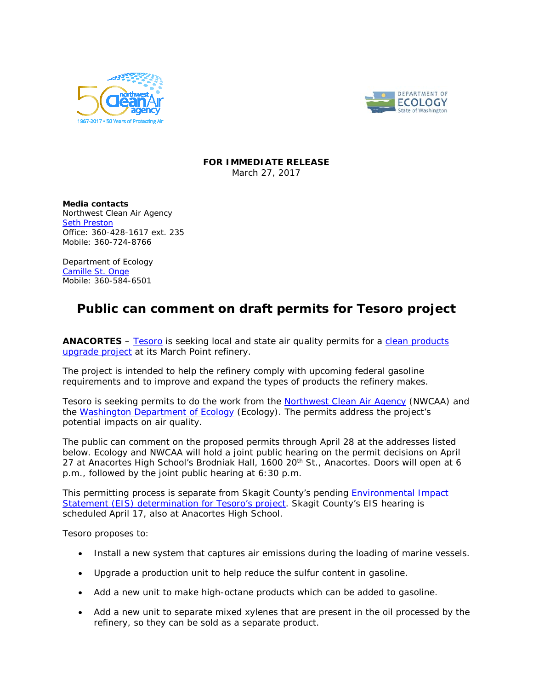



## **FOR IMMEDIATE RELEASE** March 27, 2017

**Media contacts** Northwest Clean Air Agency [Seth Preston](mailto:sethp@nwcleanairwa.gov) Office: 360-428-1617 ext. 235 Mobile: 360-724-8766

Department of Ecology [Camille St. Onge](mailto:camille.st.onge@ecy.wa.gov?subject=Tesoro) Mobile: 360-584-6501

## **Public can comment on draft permits for Tesoro project**

**ANACORTES** – [Tesoro](http://tsocorp.com/tesoro-in-anacortes/) is seeking local and state air quality permits for a [clean products](http://anacortesupgradeproject.com/) [upgrade project](http://anacortesupgradeproject.com/) at its March Point refinery.

The project is intended to help the refinery comply with upcoming federal gasoline requirements and to improve and expand the types of products the refinery makes.

Tesoro is seeking permits to do the work from the [Northwest Clean Air Agency](http://nwcleanairwa.gov/) (NWCAA) and the [Washington Department of Ecology](http://www.ecy.wa.gov/) (Ecology). The permits address the project's potential impacts on air quality.

The public can comment on the proposed permits through April 28 at the addresses listed below. Ecology and NWCAA will hold a joint public hearing on the permit decisions on April 27 at Anacortes High School's Brodniak Hall, 1600 20<sup>th</sup> St., Anacortes. Doors will open at 6 p.m., followed by the joint public hearing at 6:30 p.m.

This permitting process is separate from Skagit County's pending **Environmental Impact** [Statement \(EIS\) determination](http://tesoroanacorteseis.com/) for Tesoro's project. Skagit County's EIS hearing is scheduled April 17, also at Anacortes High School.

Tesoro proposes to:

- Install a new system that captures air emissions during the loading of marine vessels.
- Upgrade a production unit to help reduce the sulfur content in gasoline.
- Add a new unit to make high-octane products which can be added to gasoline.
- Add a new unit to separate mixed xylenes that are present in the oil processed by the refinery, so they can be sold as a separate product.